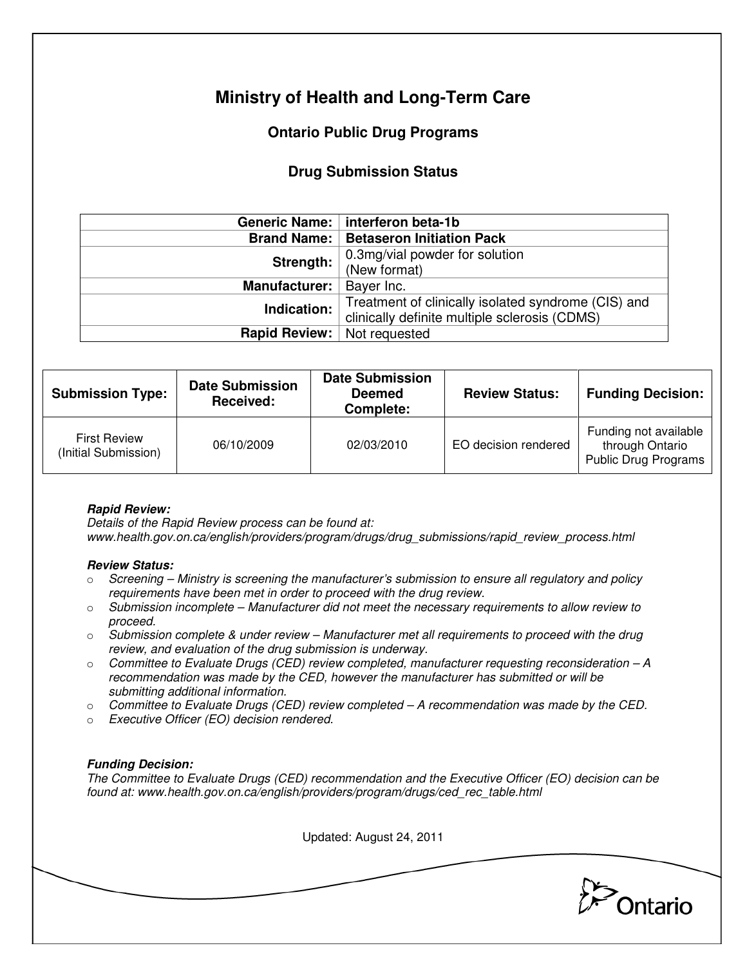# **Ministry of Health and Long-Term Care**

# **Ontario Public Drug Programs**

## **Drug Submission Status**

|                      | Generic Name:   interferon beta-1b                  |  |  |
|----------------------|-----------------------------------------------------|--|--|
|                      | <b>Brand Name:   Betaseron Initiation Pack</b>      |  |  |
| Strength:            | 0.3mg/vial powder for solution                      |  |  |
|                      | (New format)                                        |  |  |
| <b>Manufacturer:</b> | Bayer Inc.                                          |  |  |
| Indication:          | Treatment of clinically isolated syndrome (CIS) and |  |  |
|                      | clinically definite multiple sclerosis (CDMS)       |  |  |
| <b>Rapid Review:</b> | Not requested                                       |  |  |

| <b>Submission Type:</b>                     | <b>Date Submission</b><br>Received: | <b>Date Submission</b><br><b>Deemed</b><br>Complete: | <b>Review Status:</b> | <b>Funding Decision:</b>                                         |
|---------------------------------------------|-------------------------------------|------------------------------------------------------|-----------------------|------------------------------------------------------------------|
| <b>First Review</b><br>(Initial Submission) | 06/10/2009                          | 02/03/2010                                           | EO decision rendered  | Funding not available<br>through Ontario<br>Public Drug Programs |

## **Rapid Review:**

Details of the Rapid Review process can be found at: www.health.gov.on.ca/english/providers/program/drugs/drug\_submissions/rapid\_review\_process.html

### **Review Status:**

- $\circ$  Screening Ministry is screening the manufacturer's submission to ensure all regulatory and policy requirements have been met in order to proceed with the drug review.
- $\circ$  Submission incomplete Manufacturer did not meet the necessary requirements to allow review to proceed.
- $\circ$  Submission complete & under review Manufacturer met all requirements to proceed with the drug review, and evaluation of the drug submission is underway.
- $\circ$  Committee to Evaluate Drugs (CED) review completed, manufacturer requesting reconsideration A recommendation was made by the CED, however the manufacturer has submitted or will be submitting additional information.
- $\circ$  Committee to Evaluate Drugs (CED) review completed  $-A$  recommendation was made by the CED.
- o Executive Officer (EO) decision rendered.

### **Funding Decision:**

The Committee to Evaluate Drugs (CED) recommendation and the Executive Officer (EO) decision can be found at: www.health.gov.on.ca/english/providers/program/drugs/ced\_rec\_table.html

Updated: August 24, 2011

**Pontario**